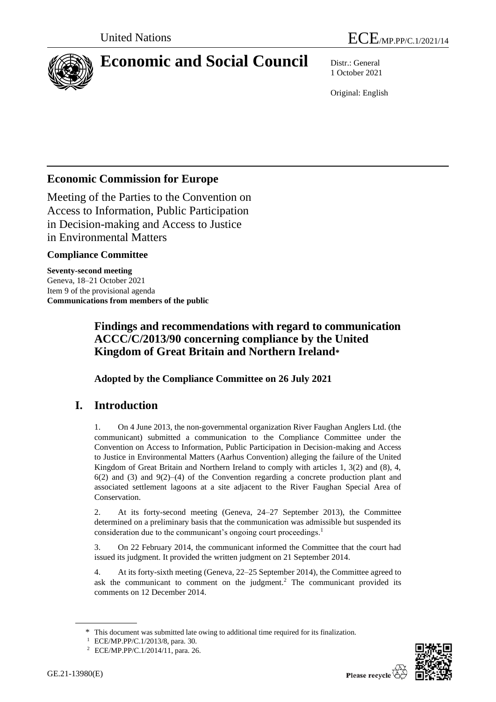

# **Economic and Social Council** Distr.: General

1 October 2021

Original: English

# **Economic Commission for Europe**

Meeting of the Parties to the Convention on Access to Information, Public Participation in Decision-making and Access to Justice in Environmental Matters

# **Compliance Committee**

**Seventy-second meeting** Geneva, 18–21 October 2021 Item 9 of the provisional agenda **Communications from members of the public**

# **Findings and recommendations with regard to communication ACCC/C/2013/90 concerning compliance by the United Kingdom of Great Britain and Northern Ireland\***

**Adopted by the Compliance Committee on 26 July 2021**

# **I. Introduction**

1. On 4 June 2013, the non-governmental organization River Faughan Anglers Ltd. (the communicant) submitted a communication to the Compliance Committee under the Convention on Access to Information, Public Participation in Decision-making and Access to Justice in Environmental Matters (Aarhus Convention) alleging the failure of the United Kingdom of Great Britain and Northern Ireland to comply with articles 1, 3(2) and (8), 4,  $6(2)$  and  $(3)$  and  $9(2)$ – $(4)$  of the Convention regarding a concrete production plant and associated settlement lagoons at a site adjacent to the River Faughan Special Area of Conservation.

2. At its forty-second meeting (Geneva, 24–27 September 2013), the Committee determined on a preliminary basis that the communication was admissible but suspended its consideration due to the communicant's ongoing court proceedings.<sup>1</sup>

3. On 22 February 2014, the communicant informed the Committee that the court had issued its judgment. It provided the written judgment on 21 September 2014.

4. At its forty-sixth meeting (Geneva, 22–25 September 2014), the Committee agreed to ask the communicant to comment on the judgment.<sup>2</sup> The communicant provided its comments on 12 December 2014.



<sup>\*</sup> This document was submitted late owing to additional time required for its finalization.

<sup>1</sup> ECE/MP.PP/C.1/2013/8, para. 30.

<sup>2</sup> ECE/MP.PP/C.1/2014/11, para. 26.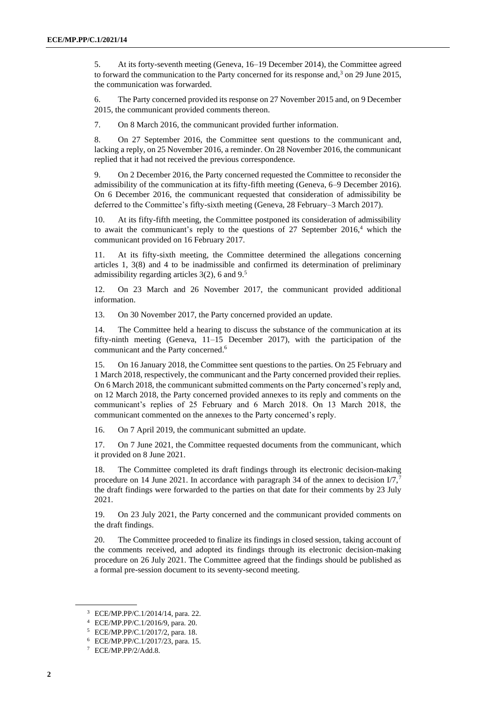5. At its forty-seventh meeting (Geneva, 16–19 December 2014), the Committee agreed to forward the communication to the Party concerned for its response and,<sup>3</sup> on 29 June 2015, the communication was forwarded.

6. The Party concerned provided its response on 27 November 2015 and, on 9 December 2015, the communicant provided comments thereon.

7. On 8 March 2016, the communicant provided further information.

8. On 27 September 2016, the Committee sent questions to the communicant and, lacking a reply, on 25 November 2016, a reminder. On 28 November 2016, the communicant replied that it had not received the previous correspondence.

9. On 2 December 2016, the Party concerned requested the Committee to reconsider the admissibility of the communication at its fifty-fifth meeting (Geneva, 6–9 December 2016). On 6 December 2016, the communicant requested that consideration of admissibility be deferred to the Committee's fifty-sixth meeting (Geneva, 28 February–3 March 2017).

At its fifty-fifth meeting, the Committee postponed its consideration of admissibility to await the communicant's reply to the questions of 27 September  $2016<sup>4</sup>$  which the communicant provided on 16 February 2017.

11. At its fifty-sixth meeting, the Committee determined the allegations concerning articles 1, 3(8) and 4 to be inadmissible and confirmed its determination of preliminary admissibility regarding articles 3(2), 6 and 9.<sup>5</sup>

12. On 23 March and 26 November 2017, the communicant provided additional information.

13. On 30 November 2017, the Party concerned provided an update.

14. The Committee held a hearing to discuss the substance of the communication at its fifty-ninth meeting (Geneva, 11–15 December 2017), with the participation of the communicant and the Party concerned. 6

15. On 16 January 2018, the Committee sent questions to the parties. On 25 February and 1 March 2018, respectively, the communicant and the Party concerned provided their replies. On 6 March 2018, the communicant submitted comments on the Party concerned's reply and, on 12 March 2018, the Party concerned provided annexes to its reply and comments on the communicant's replies of 25 February and 6 March 2018. On 13 March 2018, the communicant commented on the annexes to the Party concerned's reply.

16. On 7 April 2019, the communicant submitted an update.

17. On 7 June 2021, the Committee requested documents from the communicant, which it provided on 8 June 2021.

18. The Committee completed its draft findings through its electronic decision-making procedure on 14 June 2021. In accordance with paragraph 34 of the annex to decision  $I/\sqrt{7}$ , the draft findings were forwarded to the parties on that date for their comments by 23 July 2021.

19. On 23 July 2021, the Party concerned and the communicant provided comments on the draft findings.

20. The Committee proceeded to finalize its findings in closed session, taking account of the comments received, and adopted its findings through its electronic decision-making procedure on 26 July 2021. The Committee agreed that the findings should be published as a formal pre-session document to its seventy-second meeting.

<sup>3</sup> ECE/MP.PP/C.1/2014/14, para. 22.

<sup>4</sup> ECE/MP.PP/C.1/2016/9, para. 20.

<sup>5</sup> ECE/MP.PP/C.1/2017/2, para. 18.

<sup>6</sup> ECE/MP.PP/C.1/2017/23, para. 15.

<sup>7</sup> ECE/MP.PP/2/Add.8.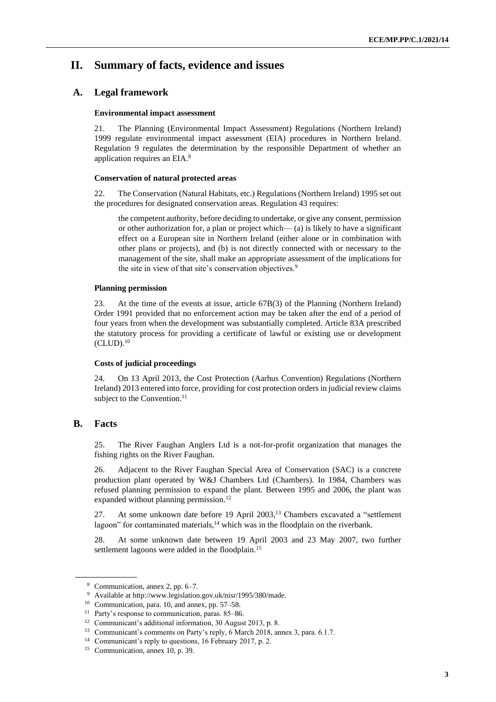# **II. Summary of facts, evidence and issues**

### **A. Legal framework**

#### **Environmental impact assessment**

21. The Planning (Environmental Impact Assessment) Regulations (Northern Ireland) 1999 regulate environmental impact assessment (EIA) procedures in Northern Ireland. Regulation 9 regulates the determination by the responsible Department of whether an application requires an EIA.<sup>8</sup>

#### **Conservation of natural protected areas**

22. The Conservation (Natural Habitats, etc.) Regulations (Northern Ireland) 1995 set out the procedures for designated conservation areas. Regulation 43 requires:

the competent authority, before deciding to undertake, or give any consent, permission or other authorization for, a plan or project which— (a) is likely to have a significant effect on a European site in Northern Ireland (either alone or in combination with other plans or projects), and (b) is not directly connected with or necessary to the management of the site, shall make an appropriate assessment of the implications for the site in view of that site's conservation objectives.<sup>9</sup>

#### **Planning permission**

23. At the time of the events at issue, article 67B(3) of the Planning (Northern Ireland) Order 1991 provided that no enforcement action may be taken after the end of a period of four years from when the development was substantially completed. Article 83A prescribed the statutory process for providing a certificate of lawful or existing use or development  $(CLUD).<sup>10</sup>$ 

### **Costs of judicial proceedings**

24. On 13 April 2013, the Cost Protection (Aarhus Convention) Regulations (Northern Ireland) 2013 entered into force, providing for cost protection orders in judicial review claims subject to the Convention.<sup>11</sup>

### **B. Facts**

25. The River Faughan Anglers Ltd is a not-for-profit organization that manages the fishing rights on the River Faughan.

26. Adjacent to the River Faughan Special Area of Conservation (SAC) is a concrete production plant operated by W&J Chambers Ltd (Chambers). In 1984, Chambers was refused planning permission to expand the plant. Between 1995 and 2006, the plant was expanded without planning permission.<sup>12</sup>

27. At some unknown date before 19 April 2003,<sup>13</sup> Chambers excavated a "settlement lagoon" for contaminated materials,<sup>14</sup> which was in the floodplain on the riverbank.

28. At some unknown date between 19 April 2003 and 23 May 2007, two further settlement lagoons were added in the floodplain.<sup>15</sup>

<sup>8</sup> Communication, annex 2, pp. 6–7.

<sup>9</sup> Available at http://www.legislation.gov.uk/nisr/1995/380/made.

<sup>10</sup> Communication, para. 10, and annex, pp. 57–58.

<sup>&</sup>lt;sup>11</sup> Party's response to communication, paras. 85-86.

<sup>&</sup>lt;sup>12</sup> Communicant's additional information, 30 August 2013, p. 8.

<sup>&</sup>lt;sup>13</sup> Communicant's comments on Party's reply, 6 March 2018, annex 3, para. 6.1.7.

<sup>&</sup>lt;sup>14</sup> Communicant's reply to questions, 16 February 2017, p. 2.

<sup>15</sup> Communication, annex 10, p. 39.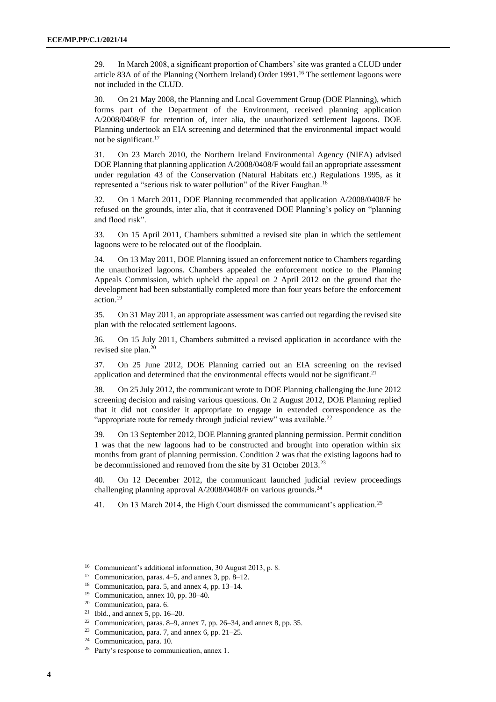29. In March 2008, a significant proportion of Chambers' site was granted a CLUD under article 83A of of the Planning (Northern Ireland) Order 1991. <sup>16</sup> The settlement lagoons were not included in the CLUD.

30. On 21 May 2008, the Planning and Local Government Group (DOE Planning), which forms part of the Department of the Environment, received planning application A/2008/0408/F for retention of, inter alia, the unauthorized settlement lagoons. DOE Planning undertook an EIA screening and determined that the environmental impact would not be significant.<sup>17</sup>

31. On 23 March 2010, the Northern Ireland Environmental Agency (NIEA) advised DOE Planning that planning application A/2008/0408/F would fail an appropriate assessment under regulation 43 of the Conservation (Natural Habitats etc.) Regulations 1995, as it represented a "serious risk to water pollution" of the River Faughan.<sup>18</sup>

32. On 1 March 2011, DOE Planning recommended that application A/2008/0408/F be refused on the grounds, inter alia, that it contravened DOE Planning's policy on "planning and flood risk".

33. On 15 April 2011, Chambers submitted a revised site plan in which the settlement lagoons were to be relocated out of the floodplain.

34. On 13 May 2011, DOE Planning issued an enforcement notice to Chambers regarding the unauthorized lagoons. Chambers appealed the enforcement notice to the Planning Appeals Commission, which upheld the appeal on 2 April 2012 on the ground that the development had been substantially completed more than four years before the enforcement action.<sup>19</sup>

35. On 31 May 2011, an appropriate assessment was carried out regarding the revised site plan with the relocated settlement lagoons.

36. On 15 July 2011, Chambers submitted a revised application in accordance with the revised site plan.<sup>20</sup>

37. On 25 June 2012, DOE Planning carried out an EIA screening on the revised application and determined that the environmental effects would not be significant.<sup>21</sup>

38. On 25 July 2012, the communicant wrote to DOE Planning challenging the June 2012 screening decision and raising various questions. On 2 August 2012, DOE Planning replied that it did not consider it appropriate to engage in extended correspondence as the "appropriate route for remedy through judicial review" was available.<sup>22</sup>

39. On 13 September 2012, DOE Planning granted planning permission. Permit condition 1 was that the new lagoons had to be constructed and brought into operation within six months from grant of planning permission. Condition 2 was that the existing lagoons had to be decommissioned and removed from the site by 31 October 2013.<sup>23</sup>

40. On 12 December 2012, the communicant launched judicial review proceedings challenging planning approval A/2008/0408/F on various grounds.<sup>24</sup>

41. On 13 March 2014, the High Court dismissed the communicant's application.<sup>25</sup>

<sup>16</sup> Communicant's additional information, 30 August 2013, p. 8.

<sup>17</sup> Communication, paras. 4–5, and annex 3, pp. 8–12.

<sup>18</sup> Communication, para. 5, and annex 4, pp. 13–14.

<sup>19</sup> Communication, annex 10, pp. 38–40.

<sup>20</sup> Communication, para. 6.

<sup>21</sup> Ibid., and annex 5, pp. 16–20.

<sup>22</sup> Communication, paras. 8–9, annex 7, pp. 26–34, and annex 8, pp. 35.

<sup>&</sup>lt;sup>23</sup> Communication, para. 7, and annex 6, pp.  $21-25$ .

<sup>24</sup> Communication, para. 10.

<sup>25</sup> Party's response to communication, annex 1.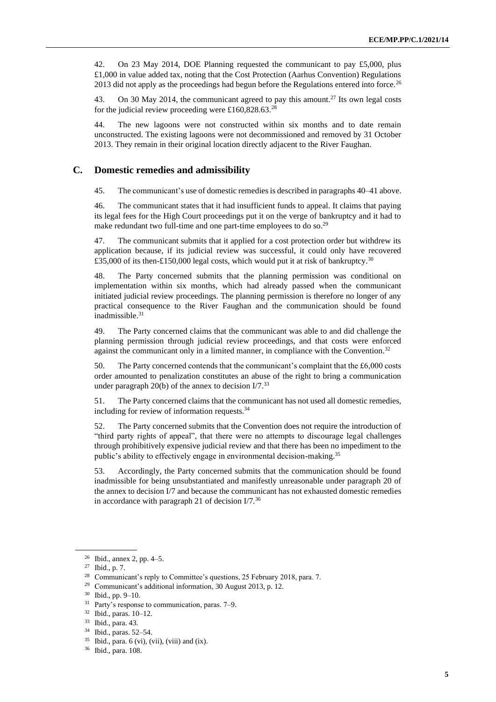42. On 23 May 2014, DOE Planning requested the communicant to pay £5,000, plus £1,000 in value added tax, noting that the Cost Protection (Aarhus Convention) Regulations 2013 did not apply as the proceedings had begun before the Regulations entered into force.<sup>26</sup>

43. On 30 May 2014, the communicant agreed to pay this amount.<sup>27</sup> Its own legal costs for the judicial review proceeding were £160,828.63.<sup>28</sup>

44. The new lagoons were not constructed within six months and to date remain unconstructed. The existing lagoons were not decommissioned and removed by 31 October 2013. They remain in their original location directly adjacent to the River Faughan.

### **C. Domestic remedies and admissibility**

45. The communicant's use of domestic remedies is described in paragraphs 40–41 above.

46. The communicant states that it had insufficient funds to appeal. It claims that paying its legal fees for the High Court proceedings put it on the verge of bankruptcy and it had to make redundant two full-time and one part-time employees to do so.<sup>29</sup>

47. The communicant submits that it applied for a cost protection order but withdrew its application because, if its judicial review was successful, it could only have recovered £35,000 of its then-£150,000 legal costs, which would put it at risk of bankruptcy.<sup>30</sup>

48. The Party concerned submits that the planning permission was conditional on implementation within six months, which had already passed when the communicant initiated judicial review proceedings. The planning permission is therefore no longer of any practical consequence to the River Faughan and the communication should be found inadmissible.<sup>31</sup>

49. The Party concerned claims that the communicant was able to and did challenge the planning permission through judicial review proceedings, and that costs were enforced against the communicant only in a limited manner, in compliance with the Convention.<sup>32</sup>

50. The Party concerned contends that the communicant's complaint that the £6,000 costs order amounted to penalization constitutes an abuse of the right to bring a communication under paragraph 20(b) of the annex to decision  $I/7<sup>33</sup>$ 

51. The Party concerned claims that the communicant has not used all domestic remedies, including for review of information requests.<sup>34</sup>

52. The Party concerned submits that the Convention does not require the introduction of "third party rights of appeal", that there were no attempts to discourage legal challenges through prohibitively expensive judicial review and that there has been no impediment to the public's ability to effectively engage in environmental decision-making.<sup>35</sup>

53. Accordingly, the Party concerned submits that the communication should be found inadmissible for being unsubstantiated and manifestly unreasonable under paragraph 20 of the annex to decision I/7 and because the communicant has not exhausted domestic remedies in accordance with paragraph 21 of decision  $I/7$ .<sup>36</sup>

<sup>26</sup> Ibid., annex 2, pp. 4–5.

<sup>27</sup> Ibid., p. 7.

<sup>&</sup>lt;sup>28</sup> Communicant's reply to Committee's questions, 25 February 2018, para. 7.

<sup>29</sup> Communicant's additional information, 30 August 2013, p. 12.

<sup>30</sup> Ibid., pp. 9–10.

<sup>31</sup> Party's response to communication, paras. 7–9.

<sup>32</sup> Ibid., paras. 10–12.

<sup>33</sup> Ibid., para. 43.

<sup>34</sup> Ibid., paras. 52–54.

 $35$  Ibid., para. 6 (vi), (vii), (viii) and (ix).

<sup>36</sup> Ibid., para. 108.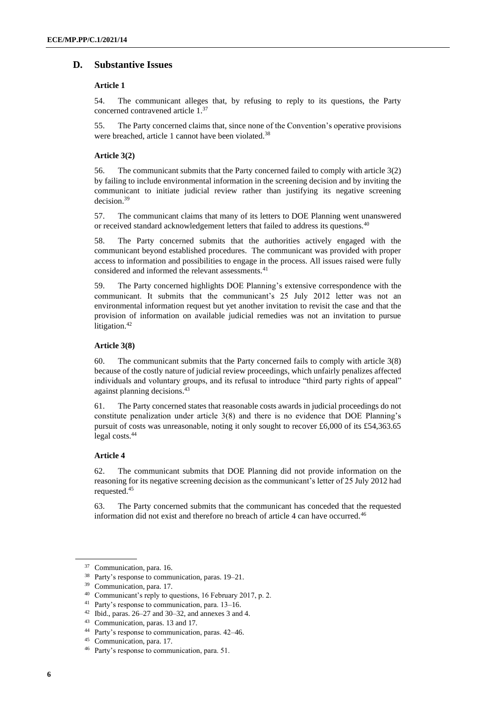## **D. Substantive Issues**

#### **Article 1**

54. The communicant alleges that, by refusing to reply to its questions, the Party concerned contravened article 1.<sup>37</sup>

55. The Party concerned claims that, since none of the Convention's operative provisions were breached, article 1 cannot have been violated.<sup>38</sup>

#### **Article 3(2)**

56. The communicant submits that the Party concerned failed to comply with article 3(2) by failing to include environmental information in the screening decision and by inviting the communicant to initiate judicial review rather than justifying its negative screening decision.<sup>39</sup>

57. The communicant claims that many of its letters to DOE Planning went unanswered or received standard acknowledgement letters that failed to address its questions.<sup>40</sup>

58. The Party concerned submits that the authorities actively engaged with the communicant beyond established procedures. The communicant was provided with proper access to information and possibilities to engage in the process. All issues raised were fully considered and informed the relevant assessments.<sup>41</sup>

59. The Party concerned highlights DOE Planning's extensive correspondence with the communicant. It submits that the communicant's 25 July 2012 letter was not an environmental information request but yet another invitation to revisit the case and that the provision of information on available judicial remedies was not an invitation to pursue litigation.<sup>42</sup>

#### **Article 3(8)**

60. The communicant submits that the Party concerned fails to comply with article 3(8) because of the costly nature of judicial review proceedings, which unfairly penalizes affected individuals and voluntary groups, and its refusal to introduce "third party rights of appeal" against planning decisions.<sup>43</sup>

61. The Party concerned states that reasonable costs awards in judicial proceedings do not constitute penalization under article 3(8) and there is no evidence that DOE Planning's pursuit of costs was unreasonable, noting it only sought to recover £6,000 of its £54,363.65 legal costs.<sup>44</sup>

#### **Article 4**

62. The communicant submits that DOE Planning did not provide information on the reasoning for its negative screening decision as the communicant's letter of 25 July 2012 had requested.<sup>45</sup>

63. The Party concerned submits that the communicant has conceded that the requested information did not exist and therefore no breach of article 4 can have occurred.<sup>46</sup>

<sup>37</sup> Communication, para. 16.

<sup>38</sup> Party's response to communication, paras. 19–21.

<sup>39</sup> Communication, para. 17.

<sup>40</sup> Communicant's reply to questions, 16 February 2017, p. 2.

<sup>41</sup> Party's response to communication, para. 13–16.

 $42$  Ibid., paras. 26–27 and 30–32, and annexes 3 and 4.

<sup>43</sup> Communication, paras. 13 and 17.

<sup>44</sup> Party's response to communication, paras. 42–46.

<sup>45</sup> Communication, para. 17.

<sup>46</sup> Party's response to communication, para. 51.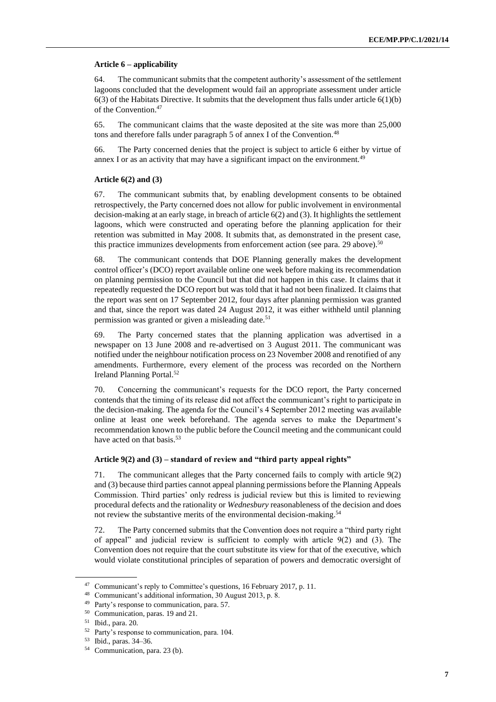#### **Article 6 – applicability**

64. The communicant submits that the competent authority's assessment of the settlement lagoons concluded that the development would fail an appropriate assessment under article  $6(3)$  of the Habitats Directive. It submits that the development thus falls under article  $6(1)(b)$ of the Convention.<sup>47</sup>

65. The communicant claims that the waste deposited at the site was more than 25,000 tons and therefore falls under paragraph 5 of annex I of the Convention.<sup>48</sup>

66. The Party concerned denies that the project is subject to article 6 either by virtue of annex I or as an activity that may have a significant impact on the environment.<sup>49</sup>

#### **Article 6(2) and (3)**

67. The communicant submits that, by enabling development consents to be obtained retrospectively, the Party concerned does not allow for public involvement in environmental decision-making at an early stage, in breach of article 6(2) and (3). It highlights the settlement lagoons, which were constructed and operating before the planning application for their retention was submitted in May 2008. It submits that, as demonstrated in the present case, this practice immunizes developments from enforcement action (see para. 29 above).<sup>50</sup>

68. The communicant contends that DOE Planning generally makes the development control officer's (DCO) report available online one week before making its recommendation on planning permission to the Council but that did not happen in this case. It claims that it repeatedly requested the DCO report but was told that it had not been finalized. It claims that the report was sent on 17 September 2012, four days after planning permission was granted and that, since the report was dated 24 August 2012, it was either withheld until planning permission was granted or given a misleading date.<sup>51</sup>

69. The Party concerned states that the planning application was advertised in a newspaper on 13 June 2008 and re-advertised on 3 August 2011. The communicant was notified under the neighbour notification process on 23 November 2008 and renotified of any amendments. Furthermore, every element of the process was recorded on the Northern Ireland Planning Portal.<sup>52</sup>

70. Concerning the communicant's requests for the DCO report, the Party concerned contends that the timing of its release did not affect the communicant's right to participate in the decision-making. The agenda for the Council's 4 September 2012 meeting was available online at least one week beforehand. The agenda serves to make the Department's recommendation known to the public before the Council meeting and the communicant could have acted on that basis.<sup>53</sup>

#### **Article 9(2) and (3) – standard of review and "third party appeal rights"**

71. The communicant alleges that the Party concerned fails to comply with article 9(2) and (3) because third parties cannot appeal planning permissions before the Planning Appeals Commission. Third parties' only redress is judicial review but this is limited to reviewing procedural defects and the rationality or *Wednesbury* reasonableness of the decision and does not review the substantive merits of the environmental decision-making.<sup>54</sup>

72. The Party concerned submits that the Convention does not require a "third party right of appeal" and judicial review is sufficient to comply with article 9(2) and (3). The Convention does not require that the court substitute its view for that of the executive, which would violate constitutional principles of separation of powers and democratic oversight of

<sup>&</sup>lt;sup>47</sup> Communicant's reply to Committee's questions, 16 February 2017, p. 11.

<sup>48</sup> Communicant's additional information, 30 August 2013, p. 8.

<sup>49</sup> Party's response to communication, para. 57.

<sup>50</sup> Communication, paras. 19 and 21.

<sup>51</sup> Ibid., para. 20.

<sup>52</sup> Party's response to communication, para. 104.

<sup>53</sup> Ibid., paras. 34–36.

<sup>54</sup> Communication, para. 23 (b).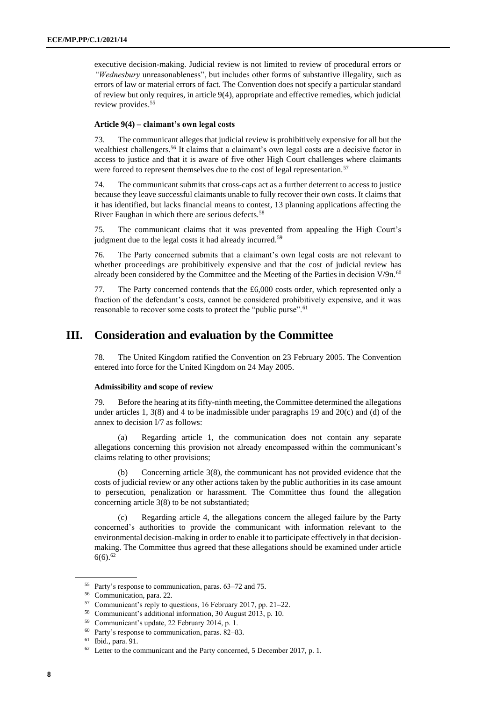executive decision-making. Judicial review is not limited to review of procedural errors or *"Wednesbury* unreasonableness", but includes other forms of substantive illegality, such as errors of law or material errors of fact. The Convention does not specify a particular standard of review but only requires, in article 9(4), appropriate and effective remedies, which judicial review provides.<sup>55</sup>

#### **Article 9(4) – claimant's own legal costs**

73. The communicant alleges that judicial review is prohibitively expensive for all but the wealthiest challengers.<sup>56</sup> It claims that a claimant's own legal costs are a decisive factor in access to justice and that it is aware of five other High Court challenges where claimants were forced to represent themselves due to the cost of legal representation.<sup>57</sup>

74. The communicant submits that cross-caps act as a further deterrent to access to justice because they leave successful claimants unable to fully recover their own costs. It claims that it has identified, but lacks financial means to contest, 13 planning applications affecting the River Faughan in which there are serious defects.<sup>58</sup>

75. The communicant claims that it was prevented from appealing the High Court's judgment due to the legal costs it had already incurred.<sup>59</sup>

76. The Party concerned submits that a claimant's own legal costs are not relevant to whether proceedings are prohibitively expensive and that the cost of judicial review has already been considered by the Committee and the Meeting of the Parties in decision  $V/9n.60$ 

77. The Party concerned contends that the £6,000 costs order, which represented only a fraction of the defendant's costs, cannot be considered prohibitively expensive, and it was reasonable to recover some costs to protect the "public purse".<sup>61</sup>

# **III. Consideration and evaluation by the Committee**

78. The United Kingdom ratified the Convention on 23 February 2005. The Convention entered into force for the United Kingdom on 24 May 2005.

#### **Admissibility and scope of review**

79. Before the hearing at its fifty-ninth meeting, the Committee determined the allegations under articles 1,  $3(8)$  and 4 to be inadmissible under paragraphs 19 and  $20(c)$  and (d) of the annex to decision I/7 as follows:

(a) Regarding article 1, the communication does not contain any separate allegations concerning this provision not already encompassed within the communicant's claims relating to other provisions;

(b) Concerning article 3(8), the communicant has not provided evidence that the costs of judicial review or any other actions taken by the public authorities in its case amount to persecution, penalization or harassment. The Committee thus found the allegation concerning article 3(8) to be not substantiated;

(c) Regarding article 4, the allegations concern the alleged failure by the Party concerned's authorities to provide the communicant with information relevant to the environmental decision-making in order to enable it to participate effectively in that decisionmaking. The Committee thus agreed that these allegations should be examined under article  $6(6).^{62}$ 

<sup>55</sup> Party's response to communication, paras. 63–72 and 75.

<sup>56</sup> Communication, para. 22.

<sup>57</sup> Communicant's reply to questions, 16 February 2017, pp. 21–22.

<sup>58</sup> Communicant's additional information, 30 August 2013, p. 10.

<sup>59</sup> Communicant's update, 22 February 2014, p. 1.

<sup>60</sup> Party's response to communication, paras. 82–83.

<sup>61</sup> Ibid., para. 91.

 $62$  Letter to the communicant and the Party concerned, 5 December 2017, p. 1.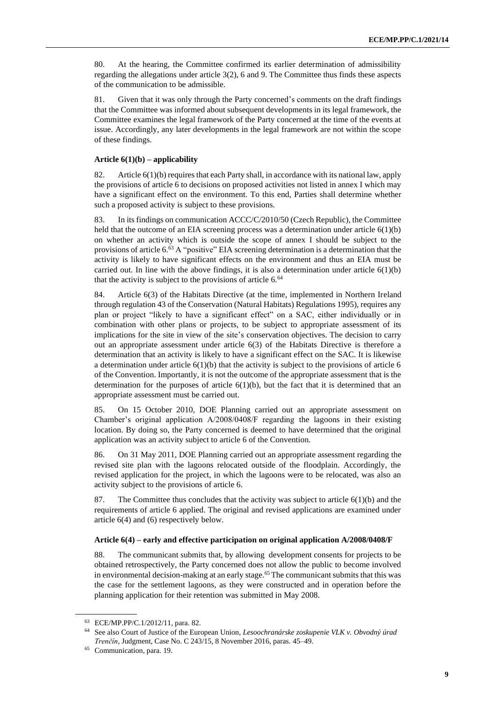80. At the hearing, the Committee confirmed its earlier determination of admissibility regarding the allegations under article 3(2), 6 and 9. The Committee thus finds these aspects of the communication to be admissible.

81. Given that it was only through the Party concerned's comments on the draft findings that the Committee was informed about subsequent developments in its legal framework, the Committee examines the legal framework of the Party concerned at the time of the events at issue. Accordingly, any later developments in the legal framework are not within the scope of these findings.

#### **Article 6(1)(b) – applicability**

82. Article 6(1)(b) requires that each Party shall, in accordance with its national law, apply the provisions of article 6 to decisions on proposed activities not listed in annex I which may have a significant effect on the environment. To this end, Parties shall determine whether such a proposed activity is subject to these provisions.

83. In its findings on communication ACCC/C/2010/50 (Czech Republic), the Committee held that the outcome of an EIA screening process was a determination under article 6(1)(b) on whether an activity which is outside the scope of annex I should be subject to the provisions of article 6.<sup>63</sup> A "positive" EIA screening determination is a determination that the activity is likely to have significant effects on the environment and thus an EIA must be carried out. In line with the above findings, it is also a determination under article  $6(1)(b)$ that the activity is subject to the provisions of article 6.<sup>64</sup>

84. Article 6(3) of the Habitats Directive (at the time, implemented in Northern Ireland through regulation 43 of the Conservation (Natural Habitats) Regulations 1995), requires any plan or project "likely to have a significant effect" on a SAC, either individually or in combination with other plans or projects, to be subject to appropriate assessment of its implications for the site in view of the site's conservation objectives. The decision to carry out an appropriate assessment under article 6(3) of the Habitats Directive is therefore a determination that an activity is likely to have a significant effect on the SAC. It is likewise a determination under article  $6(1)(b)$  that the activity is subject to the provisions of article 6 of the Convention. Importantly, it is not the outcome of the appropriate assessment that is the determination for the purposes of article  $6(1)(b)$ , but the fact that it is determined that an appropriate assessment must be carried out.

85. On 15 October 2010, DOE Planning carried out an appropriate assessment on Chamber's original application A/2008/0408/F regarding the lagoons in their existing location. By doing so, the Party concerned is deemed to have determined that the original application was an activity subject to article 6 of the Convention.

86. On 31 May 2011, DOE Planning carried out an appropriate assessment regarding the revised site plan with the lagoons relocated outside of the floodplain. Accordingly, the revised application for the project, in which the lagoons were to be relocated, was also an activity subject to the provisions of article 6.

87. The Committee thus concludes that the activity was subject to article  $6(1)(b)$  and the requirements of article 6 applied. The original and revised applications are examined under article 6(4) and (6) respectively below.

#### **Article 6(4) – early and effective participation on original application A/2008/0408/F**

88. The communicant submits that, by allowing development consents for projects to be obtained retrospectively, the Party concerned does not allow the public to become involved in environmental decision-making at an early stage.<sup>65</sup> The communicant submits that this was the case for the settlement lagoons, as they were constructed and in operation before the planning application for their retention was submitted in May 2008.

<sup>63</sup> ECE/MP.PP/C.1/2012/11, para. 82.

<sup>64</sup> See also Court of Justice of the European Union, *Lesoochranárske zoskupenie VLK v. Obvodný úrad Trenčín*, Judgment, Case No. C 243/15, 8 November 2016, paras. 45–49.

<sup>65</sup> Communication, para. 19.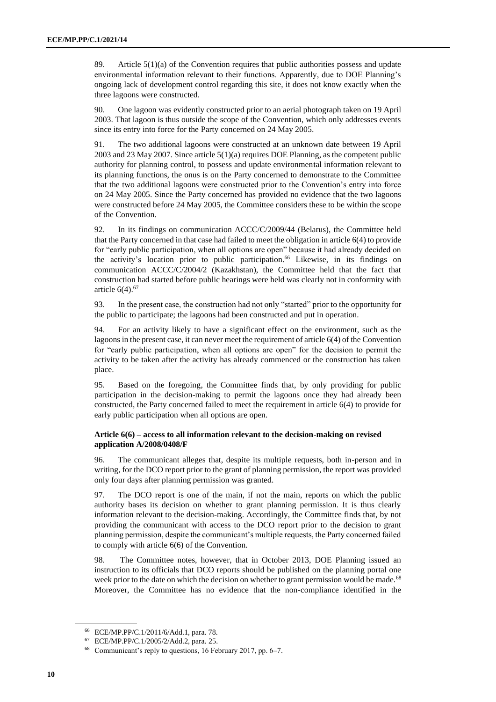89. Article 5(1)(a) of the Convention requires that public authorities possess and update environmental information relevant to their functions. Apparently, due to DOE Planning's ongoing lack of development control regarding this site, it does not know exactly when the three lagoons were constructed.

90. One lagoon was evidently constructed prior to an aerial photograph taken on 19 April 2003. That lagoon is thus outside the scope of the Convention, which only addresses events since its entry into force for the Party concerned on 24 May 2005.

91. The two additional lagoons were constructed at an unknown date between 19 April 2003 and 23 May 2007. Since article 5(1)(a) requires DOE Planning, as the competent public authority for planning control, to possess and update environmental information relevant to its planning functions, the onus is on the Party concerned to demonstrate to the Committee that the two additional lagoons were constructed prior to the Convention's entry into force on 24 May 2005. Since the Party concerned has provided no evidence that the two lagoons were constructed before 24 May 2005, the Committee considers these to be within the scope of the Convention.

92. In its findings on communication ACCC/C/2009/44 (Belarus), the Committee held that the Party concerned in that case had failed to meet the obligation in article 6(4) to provide for "early public participation, when all options are open" because it had already decided on the activity's location prior to public participation.<sup>66</sup> Likewise, in its findings on communication ACCC/C/2004/2 (Kazakhstan), the Committee held that the fact that construction had started before public hearings were held was clearly not in conformity with article  $6(4)$ .  $67$ 

93. In the present case, the construction had not only "started" prior to the opportunity for the public to participate; the lagoons had been constructed and put in operation.

94. For an activity likely to have a significant effect on the environment, such as the lagoons in the present case, it can never meet the requirement of article 6(4) of the Convention for "early public participation, when all options are open" for the decision to permit the activity to be taken after the activity has already commenced or the construction has taken place.

95. Based on the foregoing, the Committee finds that, by only providing for public participation in the decision-making to permit the lagoons once they had already been constructed, the Party concerned failed to meet the requirement in article 6(4) to provide for early public participation when all options are open.

#### **Article 6(6) – access to all information relevant to the decision-making on revised application A/2008/0408/F**

96. The communicant alleges that, despite its multiple requests, both in-person and in writing, for the DCO report prior to the grant of planning permission, the report was provided only four days after planning permission was granted.

97. The DCO report is one of the main, if not the main, reports on which the public authority bases its decision on whether to grant planning permission. It is thus clearly information relevant to the decision-making. Accordingly, the Committee finds that, by not providing the communicant with access to the DCO report prior to the decision to grant planning permission, despite the communicant's multiple requests, the Party concerned failed to comply with article 6(6) of the Convention.

98. The Committee notes, however, that in October 2013, DOE Planning issued an instruction to its officials that DCO reports should be published on the planning portal one week prior to the date on which the decision on whether to grant permission would be made.<sup>68</sup> Moreover, the Committee has no evidence that the non-compliance identified in the

<sup>66</sup> ECE/MP.PP/C.1/2011/6/Add.1, para. 78.

<sup>67</sup> ECE/MP.PP/C.1/2005/2/Add.2, para. 25.

<sup>68</sup> Communicant's reply to questions, 16 February 2017, pp. 6–7.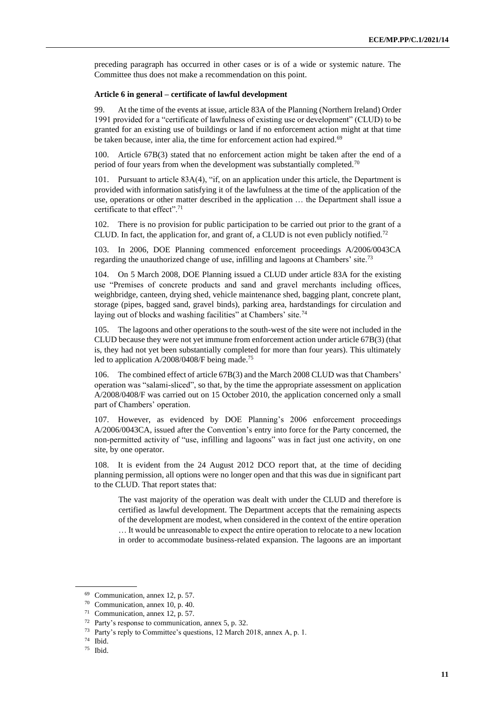preceding paragraph has occurred in other cases or is of a wide or systemic nature. The Committee thus does not make a recommendation on this point.

#### **Article 6 in general – certificate of lawful development**

99. At the time of the events at issue, article 83A of the Planning (Northern Ireland) Order 1991 provided for a "certificate of lawfulness of existing use or development" (CLUD) to be granted for an existing use of buildings or land if no enforcement action might at that time be taken because, inter alia, the time for enforcement action had expired.<sup>69</sup>

100. Article 67B(3) stated that no enforcement action might be taken after the end of a period of four years from when the development was substantially completed.<sup>70</sup>

Pursuant to article 83A(4), "if, on an application under this article, the Department is provided with information satisfying it of the lawfulness at the time of the application of the use, operations or other matter described in the application … the Department shall issue a certificate to that effect".<sup>71</sup>

102. There is no provision for public participation to be carried out prior to the grant of a CLUD. In fact, the application for, and grant of, a CLUD is not even publicly notified.<sup>72</sup>

103. In 2006, DOE Planning commenced enforcement proceedings A/2006/0043CA regarding the unauthorized change of use, infilling and lagoons at Chambers' site.<sup>73</sup>

104. On 5 March 2008, DOE Planning issued a CLUD under article 83A for the existing use "Premises of concrete products and sand and gravel merchants including offices, weighbridge, canteen, drying shed, vehicle maintenance shed, bagging plant, concrete plant, storage (pipes, bagged sand, gravel binds), parking area, hardstandings for circulation and laying out of blocks and washing facilities" at Chambers' site.<sup>74</sup>

105. The lagoons and other operations to the south-west of the site were not included in the CLUD because they were not yet immune from enforcement action under article 67B(3) (that is, they had not yet been substantially completed for more than four years). This ultimately led to application A/2008/0408/F being made.<sup>75</sup>

106. The combined effect of article 67B(3) and the March 2008 CLUD was that Chambers' operation was "salami-sliced", so that, by the time the appropriate assessment on application A/2008/0408/F was carried out on 15 October 2010, the application concerned only a small part of Chambers' operation.

107. However, as evidenced by DOE Planning's 2006 enforcement proceedings A/2006/0043CA, issued after the Convention's entry into force for the Party concerned, the non-permitted activity of "use, infilling and lagoons" was in fact just one activity, on one site, by one operator.

108. It is evident from the 24 August 2012 DCO report that, at the time of deciding planning permission, all options were no longer open and that this was due in significant part to the CLUD. That report states that:

The vast majority of the operation was dealt with under the CLUD and therefore is certified as lawful development. The Department accepts that the remaining aspects of the development are modest, when considered in the context of the entire operation … It would be unreasonable to expect the entire operation to relocate to a new location in order to accommodate business-related expansion. The lagoons are an important

<sup>69</sup> Communication, annex 12, p. 57.

<sup>70</sup> Communication, annex 10, p. 40.

<sup>71</sup> Communication, annex 12, p. 57.

<sup>72</sup> Party's response to communication, annex 5, p. 32.

<sup>73</sup> Party's reply to Committee's questions, 12 March 2018, annex A, p. 1.

<sup>74</sup> Ibid.

<sup>75</sup> Ibid.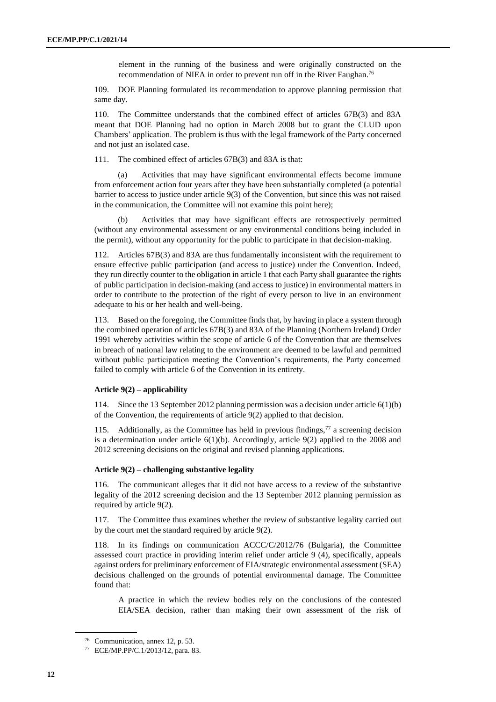element in the running of the business and were originally constructed on the recommendation of NIEA in order to prevent run off in the River Faughan.<sup>76</sup>

109. DOE Planning formulated its recommendation to approve planning permission that same day.

110. The Committee understands that the combined effect of articles 67B(3) and 83A meant that DOE Planning had no option in March 2008 but to grant the CLUD upon Chambers' application. The problem is thus with the legal framework of the Party concerned and not just an isolated case.

111. The combined effect of articles 67B(3) and 83A is that:

(a) Activities that may have significant environmental effects become immune from enforcement action four years after they have been substantially completed (a potential barrier to access to justice under article 9(3) of the Convention, but since this was not raised in the communication, the Committee will not examine this point here);

Activities that may have significant effects are retrospectively permitted (without any environmental assessment or any environmental conditions being included in the permit), without any opportunity for the public to participate in that decision-making.

112. Articles 67B(3) and 83A are thus fundamentally inconsistent with the requirement to ensure effective public participation (and access to justice) under the Convention. Indeed, they run directly counter to the obligation in article 1 that each Party shall guarantee the rights of public participation in decision-making (and access to justice) in environmental matters in order to contribute to the protection of the right of every person to live in an environment adequate to his or her health and well-being.

113. Based on the foregoing, the Committee finds that, by having in place a system through the combined operation of articles 67B(3) and 83A of the Planning (Northern Ireland) Order 1991 whereby activities within the scope of article 6 of the Convention that are themselves in breach of national law relating to the environment are deemed to be lawful and permitted without public participation meeting the Convention's requirements, the Party concerned failed to comply with article 6 of the Convention in its entirety.

### **Article 9(2) – applicability**

114. Since the 13 September 2012 planning permission was a decision under article 6(1)(b) of the Convention, the requirements of article 9(2) applied to that decision.

115. Additionally, as the Committee has held in previous findings,  $77$  a screening decision is a determination under article  $6(1)(b)$ . Accordingly, article  $9(2)$  applied to the 2008 and 2012 screening decisions on the original and revised planning applications.

#### **Article 9(2) – challenging substantive legality**

116. The communicant alleges that it did not have access to a review of the substantive legality of the 2012 screening decision and the 13 September 2012 planning permission as required by article 9(2).

117. The Committee thus examines whether the review of substantive legality carried out by the court met the standard required by article 9(2).

118. In its findings on communication ACCC/C/2012/76 (Bulgaria), the Committee assessed court practice in providing interim relief under article 9 (4), specifically, appeals against orders for preliminary enforcement of EIA/strategic environmental assessment (SEA) decisions challenged on the grounds of potential environmental damage. The Committee found that:

A practice in which the review bodies rely on the conclusions of the contested EIA/SEA decision, rather than making their own assessment of the risk of

<sup>76</sup> Communication, annex 12, p. 53.

<sup>77</sup> ECE/MP.PP/C.1/2013/12, para. 83.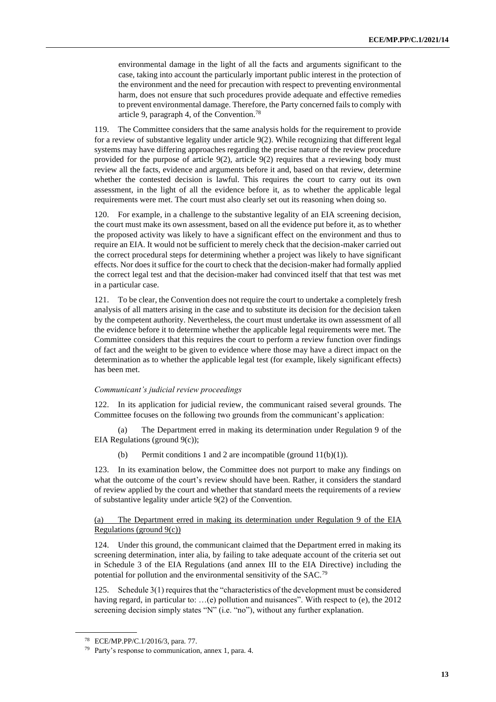environmental damage in the light of all the facts and arguments significant to the case, taking into account the particularly important public interest in the protection of the environment and the need for precaution with respect to preventing environmental harm, does not ensure that such procedures provide adequate and effective remedies to prevent environmental damage. Therefore, the Party concerned fails to comply with article 9, paragraph 4, of the Convention.<sup>78</sup>

119. The Committee considers that the same analysis holds for the requirement to provide for a review of substantive legality under article 9(2). While recognizing that different legal systems may have differing approaches regarding the precise nature of the review procedure provided for the purpose of article 9(2), article 9(2) requires that a reviewing body must review all the facts, evidence and arguments before it and, based on that review, determine whether the contested decision is lawful. This requires the court to carry out its own assessment, in the light of all the evidence before it, as to whether the applicable legal requirements were met. The court must also clearly set out its reasoning when doing so.

120. For example, in a challenge to the substantive legality of an EIA screening decision, the court must make its own assessment, based on all the evidence put before it, as to whether the proposed activity was likely to have a significant effect on the environment and thus to require an EIA. It would not be sufficient to merely check that the decision-maker carried out the correct procedural steps for determining whether a project was likely to have significant effects. Nor does it suffice for the court to check that the decision-maker had formally applied the correct legal test and that the decision-maker had convinced itself that that test was met in a particular case.

121. To be clear, the Convention does not require the court to undertake a completely fresh analysis of all matters arising in the case and to substitute its decision for the decision taken by the competent authority. Nevertheless, the court must undertake its own assessment of all the evidence before it to determine whether the applicable legal requirements were met. The Committee considers that this requires the court to perform a review function over findings of fact and the weight to be given to evidence where those may have a direct impact on the determination as to whether the applicable legal test (for example, likely significant effects) has been met.

#### *Communicant's judicial review proceedings*

122. In its application for judicial review, the communicant raised several grounds. The Committee focuses on the following two grounds from the communicant's application:

(a) The Department erred in making its determination under Regulation 9 of the EIA Regulations (ground 9(c));

(b) Permit conditions 1 and 2 are incompatible (ground  $11(b)(1)$ ).

In its examination below, the Committee does not purport to make any findings on what the outcome of the court's review should have been. Rather, it considers the standard of review applied by the court and whether that standard meets the requirements of a review of substantive legality under article 9(2) of the Convention.

#### (a) The Department erred in making its determination under Regulation 9 of the EIA Regulations (ground  $9(c)$ )

124. Under this ground, the communicant claimed that the Department erred in making its screening determination, inter alia, by failing to take adequate account of the criteria set out in Schedule 3 of the EIA Regulations (and annex III to the EIA Directive) including the potential for pollution and the environmental sensitivity of the SAC.<sup>79</sup>

125. Schedule 3(1) requires that the "characteristics of the development must be considered having regard, in particular to: ...(e) pollution and nuisances". With respect to (e), the 2012 screening decision simply states "N" (i.e. "no"), without any further explanation.

<sup>78</sup> ECE/MP.PP/C.1/2016/3, para. 77.

<sup>79</sup> Party's response to communication, annex 1, para. 4.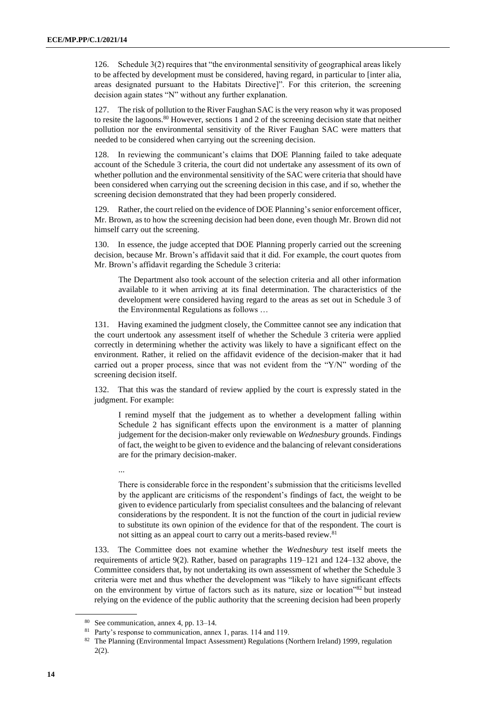126. Schedule 3(2) requires that "the environmental sensitivity of geographical areas likely to be affected by development must be considered, having regard, in particular to [inter alia, areas designated pursuant to the Habitats Directive]". For this criterion, the screening decision again states "N" without any further explanation.

127. The risk of pollution to the River Faughan SAC is the very reason why it was proposed to resite the lagoons. $80$  However, sections 1 and 2 of the screening decision state that neither pollution nor the environmental sensitivity of the River Faughan SAC were matters that needed to be considered when carrying out the screening decision.

128. In reviewing the communicant's claims that DOE Planning failed to take adequate account of the Schedule 3 criteria, the court did not undertake any assessment of its own of whether pollution and the environmental sensitivity of the SAC were criteria that should have been considered when carrying out the screening decision in this case, and if so, whether the screening decision demonstrated that they had been properly considered.

129. Rather, the court relied on the evidence of DOE Planning's senior enforcement officer, Mr. Brown, as to how the screening decision had been done, even though Mr. Brown did not himself carry out the screening.

130. In essence, the judge accepted that DOE Planning properly carried out the screening decision, because Mr. Brown's affidavit said that it did. For example, the court quotes from Mr. Brown's affidavit regarding the Schedule 3 criteria:

The Department also took account of the selection criteria and all other information available to it when arriving at its final determination. The characteristics of the development were considered having regard to the areas as set out in Schedule 3 of the Environmental Regulations as follows …

131. Having examined the judgment closely, the Committee cannot see any indication that the court undertook any assessment itself of whether the Schedule 3 criteria were applied correctly in determining whether the activity was likely to have a significant effect on the environment. Rather, it relied on the affidavit evidence of the decision-maker that it had carried out a proper process, since that was not evident from the "Y/N" wording of the screening decision itself.

132. That this was the standard of review applied by the court is expressly stated in the judgment. For example:

I remind myself that the judgement as to whether a development falling within Schedule 2 has significant effects upon the environment is a matter of planning judgement for the decision-maker only reviewable on *Wednesbury* grounds. Findings of fact, the weight to be given to evidence and the balancing of relevant considerations are for the primary decision-maker.

...

There is considerable force in the respondent's submission that the criticisms levelled by the applicant are criticisms of the respondent's findings of fact, the weight to be given to evidence particularly from specialist consultees and the balancing of relevant considerations by the respondent. It is not the function of the court in judicial review to substitute its own opinion of the evidence for that of the respondent. The court is not sitting as an appeal court to carry out a merits-based review.<sup>81</sup>

133. The Committee does not examine whether the *Wednesbury* test itself meets the requirements of article 9(2). Rather, based on paragraphs 119–121 and 124–132 above, the Committee considers that, by not undertaking its own assessment of whether the Schedule 3 criteria were met and thus whether the development was "likely to have significant effects on the environment by virtue of factors such as its nature, size or location"<sup>82</sup> but instead relying on the evidence of the public authority that the screening decision had been properly

<sup>80</sup> See communication, annex 4, pp. 13–14.

<sup>&</sup>lt;sup>81</sup> Party's response to communication, annex 1, paras. 114 and 119.

<sup>82</sup> The Planning (Environmental Impact Assessment) Regulations (Northern Ireland) 1999, regulation 2(2).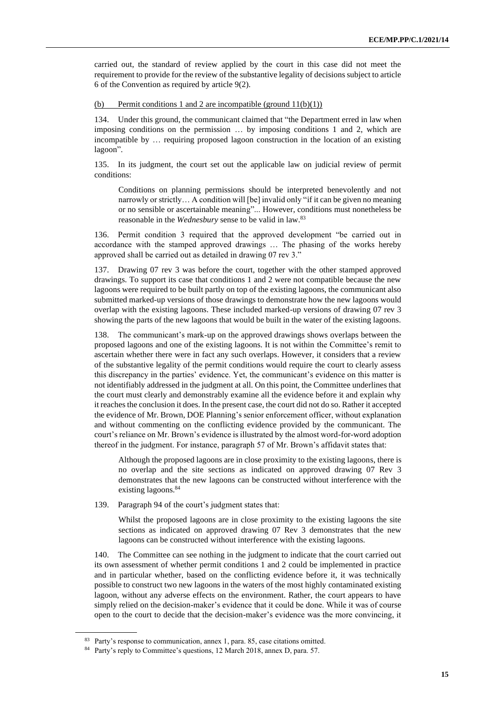carried out, the standard of review applied by the court in this case did not meet the requirement to provide for the review of the substantive legality of decisions subject to article 6 of the Convention as required by article 9(2).

#### (b) Permit conditions 1 and 2 are incompatible (ground  $11(b)(1)$ )

134. Under this ground, the communicant claimed that "the Department erred in law when imposing conditions on the permission … by imposing conditions 1 and 2, which are incompatible by … requiring proposed lagoon construction in the location of an existing lagoon".

135. In its judgment, the court set out the applicable law on judicial review of permit conditions:

Conditions on planning permissions should be interpreted benevolently and not narrowly or strictly… A condition will [be] invalid only "if it can be given no meaning or no sensible or ascertainable meaning"... However, conditions must nonetheless be reasonable in the *Wednesbury* sense to be valid in law.<sup>83</sup>

136. Permit condition 3 required that the approved development "be carried out in accordance with the stamped approved drawings … The phasing of the works hereby approved shall be carried out as detailed in drawing 07 rev 3."

137. Drawing 07 rev 3 was before the court, together with the other stamped approved drawings. To support its case that conditions 1 and 2 were not compatible because the new lagoons were required to be built partly on top of the existing lagoons, the communicant also submitted marked-up versions of those drawings to demonstrate how the new lagoons would overlap with the existing lagoons. These included marked-up versions of drawing 07 rev 3 showing the parts of the new lagoons that would be built in the water of the existing lagoons.

138. The communicant's mark-up on the approved drawings shows overlaps between the proposed lagoons and one of the existing lagoons. It is not within the Committee's remit to ascertain whether there were in fact any such overlaps. However, it considers that a review of the substantive legality of the permit conditions would require the court to clearly assess this discrepancy in the parties' evidence. Yet, the communicant's evidence on this matter is not identifiably addressed in the judgment at all. On this point, the Committee underlines that the court must clearly and demonstrably examine all the evidence before it and explain why it reaches the conclusion it does. In the present case, the court did not do so. Rather it accepted the evidence of Mr. Brown, DOE Planning's senior enforcement officer, without explanation and without commenting on the conflicting evidence provided by the communicant. The court's reliance on Mr. Brown's evidence is illustrated by the almost word-for-word adoption thereof in the judgment. For instance, paragraph 57 of Mr. Brown's affidavit states that:

Although the proposed lagoons are in close proximity to the existing lagoons, there is no overlap and the site sections as indicated on approved drawing 07 Rev 3 demonstrates that the new lagoons can be constructed without interference with the existing lagoons.<sup>84</sup>

139. Paragraph 94 of the court's judgment states that:

Whilst the proposed lagoons are in close proximity to the existing lagoons the site sections as indicated on approved drawing 07 Rev 3 demonstrates that the new lagoons can be constructed without interference with the existing lagoons.

140. The Committee can see nothing in the judgment to indicate that the court carried out its own assessment of whether permit conditions 1 and 2 could be implemented in practice and in particular whether, based on the conflicting evidence before it, it was technically possible to construct two new lagoons in the waters of the most highly contaminated existing lagoon, without any adverse effects on the environment. Rather, the court appears to have simply relied on the decision-maker's evidence that it could be done. While it was of course open to the court to decide that the decision-maker's evidence was the more convincing, it

<sup>&</sup>lt;sup>83</sup> Party's response to communication, annex 1, para. 85, case citations omitted.

<sup>84</sup> Party's reply to Committee's questions, 12 March 2018, annex D, para. 57.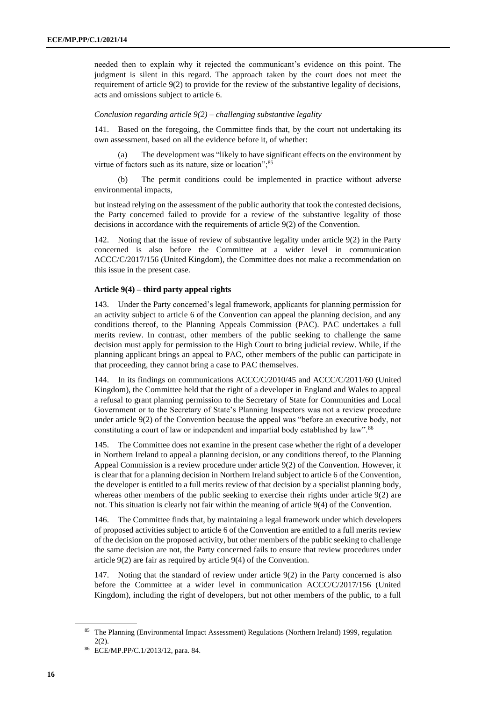needed then to explain why it rejected the communicant's evidence on this point. The judgment is silent in this regard. The approach taken by the court does not meet the requirement of article 9(2) to provide for the review of the substantive legality of decisions, acts and omissions subject to article 6.

#### *Conclusion regarding article 9(2) – challenging substantive legality*

141. Based on the foregoing, the Committee finds that, by the court not undertaking its own assessment, based on all the evidence before it, of whether:

(a) The development was "likely to have significant effects on the environment by virtue of factors such as its nature, size or location";<sup>85</sup>

The permit conditions could be implemented in practice without adverse environmental impacts,

but instead relying on the assessment of the public authority that took the contested decisions, the Party concerned failed to provide for a review of the substantive legality of those decisions in accordance with the requirements of article 9(2) of the Convention.

142. Noting that the issue of review of substantive legality under article 9(2) in the Party concerned is also before the Committee at a wider level in communication ACCC/C/2017/156 (United Kingdom), the Committee does not make a recommendation on this issue in the present case.

#### **Article 9(4) – third party appeal rights**

143. Under the Party concerned's legal framework, applicants for planning permission for an activity subject to article 6 of the Convention can appeal the planning decision, and any conditions thereof, to the Planning Appeals Commission (PAC). PAC undertakes a full merits review. In contrast, other members of the public seeking to challenge the same decision must apply for permission to the High Court to bring judicial review. While, if the planning applicant brings an appeal to PAC, other members of the public can participate in that proceeding, they cannot bring a case to PAC themselves.

144. In its findings on communications ACCC/C/2010/45 and ACCC/C/2011/60 (United Kingdom), the Committee held that the right of a developer in England and Wales to appeal a refusal to grant planning permission to the Secretary of State for Communities and Local Government or to the Secretary of State's Planning Inspectors was not a review procedure under article 9(2) of the Convention because the appeal was "before an executive body, not constituting a court of law or independent and impartial body established by law".<sup>86</sup>

145. The Committee does not examine in the present case whether the right of a developer in Northern Ireland to appeal a planning decision, or any conditions thereof, to the Planning Appeal Commission is a review procedure under article 9(2) of the Convention. However, it is clear that for a planning decision in Northern Ireland subject to article 6 of the Convention, the developer is entitled to a full merits review of that decision by a specialist planning body, whereas other members of the public seeking to exercise their rights under article 9(2) are not. This situation is clearly not fair within the meaning of article 9(4) of the Convention.

146. The Committee finds that, by maintaining a legal framework under which developers of proposed activities subject to article 6 of the Convention are entitled to a full merits review of the decision on the proposed activity, but other members of the public seeking to challenge the same decision are not, the Party concerned fails to ensure that review procedures under article 9(2) are fair as required by article 9(4) of the Convention.

147. Noting that the standard of review under article 9(2) in the Party concerned is also before the Committee at a wider level in communication ACCC/C/2017/156 (United Kingdom), including the right of developers, but not other members of the public, to a full

<sup>&</sup>lt;sup>85</sup> The Planning (Environmental Impact Assessment) Regulations (Northern Ireland) 1999, regulation 2(2).

<sup>86</sup> ECE/MP.PP/C.1/2013/12, para. 84.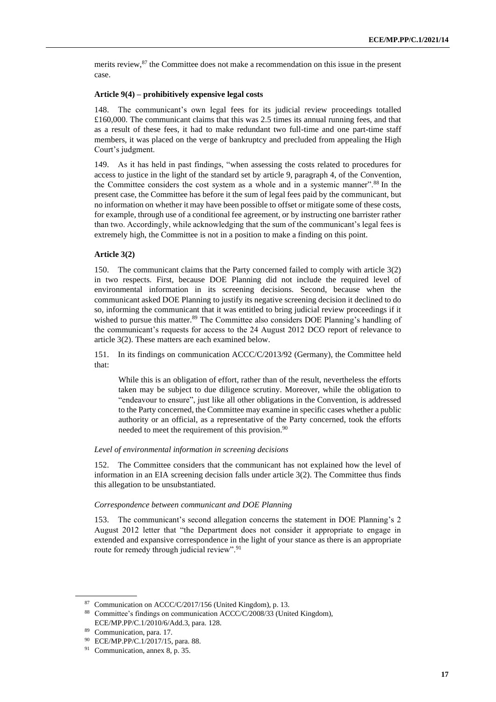merits review,<sup>87</sup> the Committee does not make a recommendation on this issue in the present case.

#### **Article 9(4) – prohibitively expensive legal costs**

148. The communicant's own legal fees for its judicial review proceedings totalled £160,000. The communicant claims that this was 2.5 times its annual running fees, and that as a result of these fees, it had to make redundant two full-time and one part-time staff members, it was placed on the verge of bankruptcy and precluded from appealing the High Court's judgment.

149. As it has held in past findings, "when assessing the costs related to procedures for access to justice in the light of the standard set by article 9, paragraph 4, of the Convention, the Committee considers the cost system as a whole and in a systemic manner".<sup>88</sup> In the present case, the Committee has before it the sum of legal fees paid by the communicant, but no information on whether it may have been possible to offset or mitigate some of these costs, for example, through use of a conditional fee agreement, or by instructing one barrister rather than two. Accordingly, while acknowledging that the sum of the communicant's legal fees is extremely high, the Committee is not in a position to make a finding on this point.

#### **Article 3(2)**

150. The communicant claims that the Party concerned failed to comply with article 3(2) in two respects. First, because DOE Planning did not include the required level of environmental information in its screening decisions. Second, because when the communicant asked DOE Planning to justify its negative screening decision it declined to do so, informing the communicant that it was entitled to bring judicial review proceedings if it wished to pursue this matter.<sup>89</sup> The Committee also considers DOE Planning's handling of the communicant's requests for access to the 24 August 2012 DCO report of relevance to article 3(2). These matters are each examined below.

151. In its findings on communication ACCC/C/2013/92 (Germany), the Committee held that:

While this is an obligation of effort, rather than of the result, nevertheless the efforts taken may be subject to due diligence scrutiny. Moreover, while the obligation to "endeavour to ensure", just like all other obligations in the Convention, is addressed to the Party concerned, the Committee may examine in specific cases whether a public authority or an official, as a representative of the Party concerned, took the efforts needed to meet the requirement of this provision.<sup>90</sup>

#### *Level of environmental information in screening decisions*

152. The Committee considers that the communicant has not explained how the level of information in an EIA screening decision falls under article 3(2). The Committee thus finds this allegation to be unsubstantiated.

#### *Correspondence between communicant and DOE Planning*

153. The communicant's second allegation concerns the statement in DOE Planning's 2 August 2012 letter that "the Department does not consider it appropriate to engage in extended and expansive correspondence in the light of your stance as there is an appropriate route for remedy through judicial review".<sup>91</sup>

<sup>87</sup> Communication on ACCC/C/2017/156 (United Kingdom), p. 13.

<sup>88</sup> Committee's findings on communication ACCC/C/2008/33 (United Kingdom), ECE/MP.PP/C.1/2010/6/Add.3, para. 128.

Communication, para. 17.

<sup>90</sup> ECE/MP.PP/C.1/2017/15, para. 88.

<sup>91</sup> Communication, annex 8, p. 35.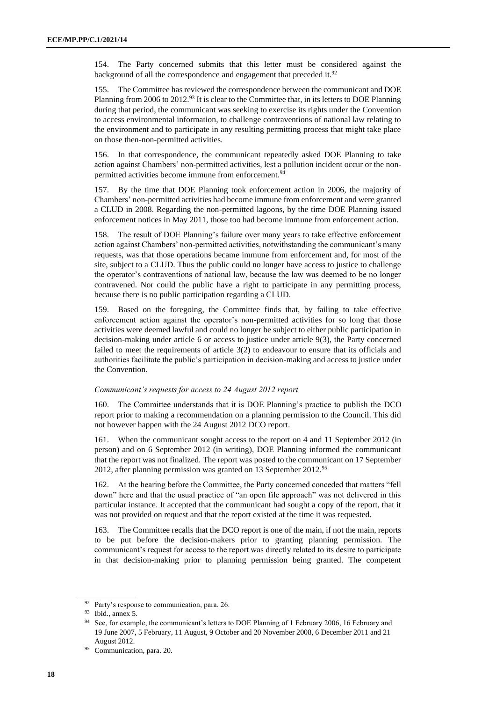154. The Party concerned submits that this letter must be considered against the background of all the correspondence and engagement that preceded it.<sup>92</sup>

155. The Committee has reviewed the correspondence between the communicant and DOE Planning from 2006 to 2012.<sup>93</sup> It is clear to the Committee that, in its letters to DOE Planning during that period, the communicant was seeking to exercise its rights under the Convention to access environmental information, to challenge contraventions of national law relating to the environment and to participate in any resulting permitting process that might take place on those then-non-permitted activities.

156. In that correspondence, the communicant repeatedly asked DOE Planning to take action against Chambers' non-permitted activities, lest a pollution incident occur or the nonpermitted activities become immune from enforcement.<sup>94</sup>

157. By the time that DOE Planning took enforcement action in 2006, the majority of Chambers' non-permitted activities had become immune from enforcement and were granted a CLUD in 2008. Regarding the non-permitted lagoons, by the time DOE Planning issued enforcement notices in May 2011, those too had become immune from enforcement action.

158. The result of DOE Planning's failure over many years to take effective enforcement action against Chambers' non-permitted activities, notwithstanding the communicant's many requests, was that those operations became immune from enforcement and, for most of the site, subject to a CLUD. Thus the public could no longer have access to justice to challenge the operator's contraventions of national law, because the law was deemed to be no longer contravened. Nor could the public have a right to participate in any permitting process, because there is no public participation regarding a CLUD.

159. Based on the foregoing, the Committee finds that, by failing to take effective enforcement action against the operator's non-permitted activities for so long that those activities were deemed lawful and could no longer be subject to either public participation in decision-making under article 6 or access to justice under article 9(3), the Party concerned failed to meet the requirements of article 3(2) to endeavour to ensure that its officials and authorities facilitate the public's participation in decision-making and access to justice under the Convention.

#### *Communicant's requests for access to 24 August 2012 report*

160. The Committee understands that it is DOE Planning's practice to publish the DCO report prior to making a recommendation on a planning permission to the Council. This did not however happen with the 24 August 2012 DCO report.

161. When the communicant sought access to the report on 4 and 11 September 2012 (in person) and on 6 September 2012 (in writing), DOE Planning informed the communicant that the report was not finalized. The report was posted to the communicant on 17 September 2012, after planning permission was granted on 13 September 2012.<sup>95</sup>

162. At the hearing before the Committee, the Party concerned conceded that matters "fell down" here and that the usual practice of "an open file approach" was not delivered in this particular instance. It accepted that the communicant had sought a copy of the report, that it was not provided on request and that the report existed at the time it was requested.

163. The Committee recalls that the DCO report is one of the main, if not the main, reports to be put before the decision-makers prior to granting planning permission. The communicant's request for access to the report was directly related to its desire to participate in that decision-making prior to planning permission being granted. The competent

<sup>92</sup> Party's response to communication, para. 26.

<sup>93</sup> Ibid., annex 5.

<sup>&</sup>lt;sup>94</sup> See, for example, the communicant's letters to DOE Planning of 1 February 2006, 16 February and 19 June 2007, 5 February, 11 August, 9 October and 20 November 2008, 6 December 2011 and 21 August 2012.

<sup>95</sup> Communication, para. 20.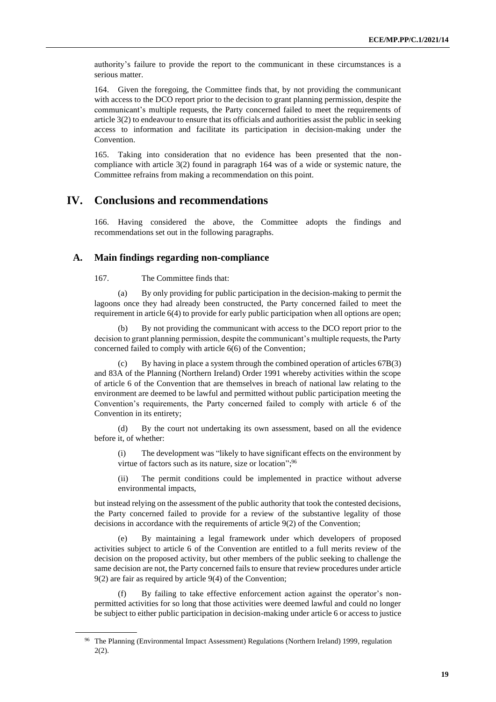authority's failure to provide the report to the communicant in these circumstances is a serious matter.

164. Given the foregoing, the Committee finds that, by not providing the communicant with access to the DCO report prior to the decision to grant planning permission, despite the communicant's multiple requests, the Party concerned failed to meet the requirements of article 3(2) to endeavour to ensure that its officials and authorities assist the public in seeking access to information and facilitate its participation in decision-making under the Convention.

165. Taking into consideration that no evidence has been presented that the noncompliance with article 3(2) found in paragraph 164 was of a wide or systemic nature, the Committee refrains from making a recommendation on this point.

# **IV. Conclusions and recommendations**

166. Having considered the above, the Committee adopts the findings and recommendations set out in the following paragraphs.

#### **A. Main findings regarding non-compliance**

167. The Committee finds that:

(a) By only providing for public participation in the decision-making to permit the lagoons once they had already been constructed, the Party concerned failed to meet the requirement in article 6(4) to provide for early public participation when all options are open;

(b) By not providing the communicant with access to the DCO report prior to the decision to grant planning permission, despite the communicant's multiple requests, the Party concerned failed to comply with article 6(6) of the Convention;

(c) By having in place a system through the combined operation of articles 67B(3) and 83A of the Planning (Northern Ireland) Order 1991 whereby activities within the scope of article 6 of the Convention that are themselves in breach of national law relating to the environment are deemed to be lawful and permitted without public participation meeting the Convention's requirements, the Party concerned failed to comply with article 6 of the Convention in its entirety;

(d) By the court not undertaking its own assessment, based on all the evidence before it, of whether:

(i) The development was "likely to have significant effects on the environment by virtue of factors such as its nature, size or location";<sup>96</sup>

(ii) The permit conditions could be implemented in practice without adverse environmental impacts,

but instead relying on the assessment of the public authority that took the contested decisions, the Party concerned failed to provide for a review of the substantive legality of those decisions in accordance with the requirements of article 9(2) of the Convention;

(e) By maintaining a legal framework under which developers of proposed activities subject to article 6 of the Convention are entitled to a full merits review of the decision on the proposed activity, but other members of the public seeking to challenge the same decision are not, the Party concerned fails to ensure that review procedures under article 9(2) are fair as required by article 9(4) of the Convention;

By failing to take effective enforcement action against the operator's nonpermitted activities for so long that those activities were deemed lawful and could no longer be subject to either public participation in decision-making under article 6 or access to justice

<sup>&</sup>lt;sup>96</sup> The Planning (Environmental Impact Assessment) Regulations (Northern Ireland) 1999, regulation 2(2).